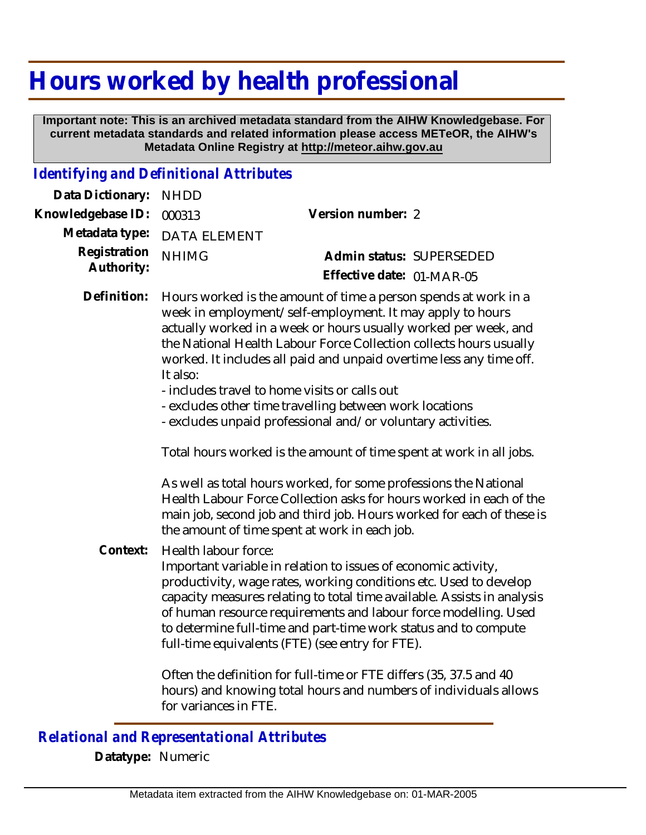## **Hours worked by health professional**

 **Important note: This is an archived metadata standard from the AIHW Knowledgebase. For current metadata standards and related information please access METeOR, the AIHW's Metadata Online Registry at http://meteor.aihw.gov.au**

## *Identifying and Definitional Attributes*

| Data Dictionary:           | <b>NHDD</b>                                                                                                                                                                                                                                                                                                                                                                                                                                                          |                                                                                                                                        |  |
|----------------------------|----------------------------------------------------------------------------------------------------------------------------------------------------------------------------------------------------------------------------------------------------------------------------------------------------------------------------------------------------------------------------------------------------------------------------------------------------------------------|----------------------------------------------------------------------------------------------------------------------------------------|--|
| Knowledgebase ID:          | 000313                                                                                                                                                                                                                                                                                                                                                                                                                                                               | Version number: 2                                                                                                                      |  |
| Metadata type:             | <b>DATA ELEMENT</b>                                                                                                                                                                                                                                                                                                                                                                                                                                                  |                                                                                                                                        |  |
| Registration<br>Authority: | <b>NHIMG</b>                                                                                                                                                                                                                                                                                                                                                                                                                                                         | Admin status: SUPERSEDED<br>Effective date: 01-MAR-05                                                                                  |  |
| Definition:                | Hours worked is the amount of time a person spends at work in a<br>week in employment/self-employment. It may apply to hours<br>actually worked in a week or hours usually worked per week, and<br>the National Health Labour Force Collection collects hours usually<br>worked. It includes all paid and unpaid overtime less any time off.<br>It also:<br>- includes travel to home visits or calls out<br>- excludes other time travelling between work locations |                                                                                                                                        |  |
| Context:                   | - excludes unpaid professional and/or voluntary activities.<br>Total hours worked is the amount of time spent at work in all jobs.                                                                                                                                                                                                                                                                                                                                   |                                                                                                                                        |  |
|                            | As well as total hours worked, for some professions the National<br>Health Labour Force Collection asks for hours worked in each of the<br>main job, second job and third job. Hours worked for each of these is<br>the amount of time spent at work in each job.                                                                                                                                                                                                    |                                                                                                                                        |  |
|                            | Health labour force:<br>Important variable in relation to issues of economic activity,<br>productivity, wage rates, working conditions etc. Used to develop<br>capacity measures relating to total time available. Assists in analysis<br>of human resource requirements and labour force modelling. Used<br>to determine full-time and part-time work status and to compute<br>full-time equivalents (FTE) (see entry for FTE).                                     |                                                                                                                                        |  |
|                            | for variances in FTE.                                                                                                                                                                                                                                                                                                                                                                                                                                                | Often the definition for full-time or FTE differs (35, 37.5 and 40<br>hours) and knowing total hours and numbers of individuals allows |  |
|                            |                                                                                                                                                                                                                                                                                                                                                                                                                                                                      |                                                                                                                                        |  |

## *Relational and Representational Attributes*

**Datatype:** Numeric